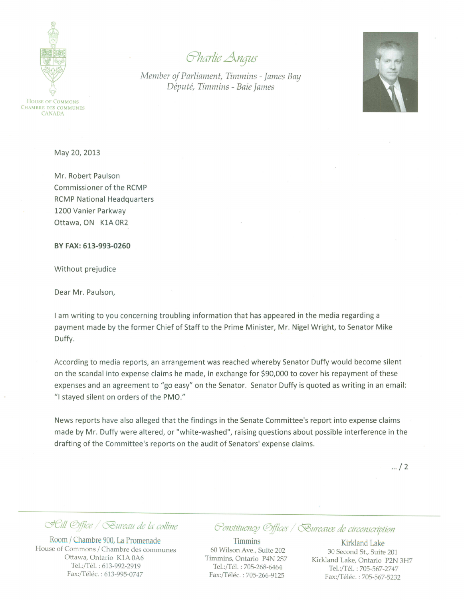HOUSE OF COMMONS CHAMBRE DES COMMUNES CANADA

*cYhCffue Angus*

*Member of Parliament, Timmins - James Bay Depute, Timmins - Baie James*



May 20, 2013

Mr. Robert Paulson Commissioner of the RCMP RCMP National Headquarters 1200 Vanier Parkway Ottawa, ON KIA OR2

BY FAX: 613-993-0260

Without prejudice

Dear Mr. Paulson.

I am writing to you concerning troubling information that has appeared in the media regarding a payment made by the former Chief of Staff to the Prime Minister, Mr. Nigel Wright, to Senator Mike Duffy.

According to media reports, an arrangement was reached whereby Senator Duffy would become silent on the scandal into expense claims he made, in exchange for \$90,000 to cover his repayment of these expenses and an agreement to "go easy" on the Senator. Senator Duffy is quoted as writing in an email: "I stayed silent on orders of the PMO."

News reports have also alleged that the findings in the Senate Committee's report into expense claims made by Mr. Duffy were altered, or "white-washed", raising questions about possible interference in the drafting of the Committee's reports on the audit of Senators' expense claims.

 $... / 2$ 

## *cJel/ ®/liee <:5auredu de fa- co/bne*

Room *I* Chambre 900, La Promenade House of Commons / Chambre des communes Ottawa, Ontario *KIA* OA6 Tel.:/Tél. : 613-992-2919 Fax:/Téléc. : 613-995-0747

## *~(JJ1Slltuencp ®jiiees <:5auredll.Z de circoJ1SCnplioJ1*

Timmins 60 Wilson Ave., Suite 202 Timmins, Ontario P4N 2S7 Tel.:/Tél. : 705-268-6464 Fax:/Téléc. : 705-266-9125

Kirkland Lake 30 Second St., Suite 201 Kirkland Lake, Ontario P2N 3H7 Tel.:/Tél. : 705-567-2747 Fax:/Téléc. : 705-567-5232